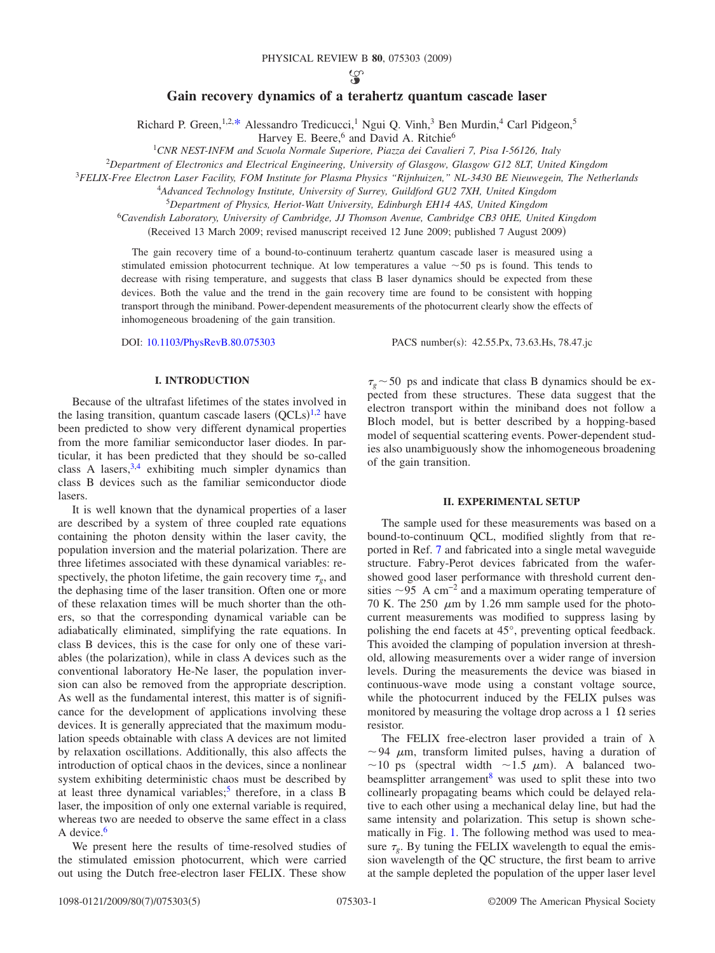ပ္စာ

# **Gain recovery dynamics of a terahertz quantum cascade laser**

Richard P. Green,  $1,2,3$ \* Alessandro Tredicucci, <sup>1</sup> Ngui Q. Vinh, <sup>3</sup> Ben Murdin, <sup>4</sup> Carl Pidgeon, <sup>5</sup>

Harvey E. Beere,<sup>6</sup> and David A. Ritchie<sup>6</sup>

1 *CNR NEST-INFM and Scuola Normale Superiore, Piazza dei Cavalieri 7, Pisa I-56126, Italy*

2 *Department of Electronics and Electrical Engineering, University of Glasgow, Glasgow G12 8LT, United Kingdom*

3 *FELIX-Free Electron Laser Facility, FOM Institute for Plasma Physics "Rijnhuizen," NL-3430 BE Nieuwegein, The Netherlands*

4 *Advanced Technology Institute, University of Surrey, Guildford GU2 7XH, United Kingdom*

<sup>5</sup>*Department of Physics, Heriot-Watt University, Edinburgh EH14 4AS, United Kingdom*

<sup>6</sup>*Cavendish Laboratory, University of Cambridge, JJ Thomson Avenue, Cambridge CB3 0HE, United Kingdom*

(Received 13 March 2009; revised manuscript received 12 June 2009; published 7 August 2009)

The gain recovery time of a bound-to-continuum terahertz quantum cascade laser is measured using a stimulated emission photocurrent technique. At low temperatures a value  $\sim$  50 ps is found. This tends to decrease with rising temperature, and suggests that class B laser dynamics should be expected from these devices. Both the value and the trend in the gain recovery time are found to be consistent with hopping transport through the miniband. Power-dependent measurements of the photocurrent clearly show the effects of inhomogeneous broadening of the gain transition.

DOI: [10.1103/PhysRevB.80.075303](http://dx.doi.org/10.1103/PhysRevB.80.075303)

PACS number(s): 42.55.Px, 73.63.Hs, 78.47.jc

# **I. INTRODUCTION**

Because of the ultrafast lifetimes of the states involved in the lasing transition, quantum cascade lasers  $(QCLs)^{1,2}$  $(QCLs)^{1,2}$  $(QCLs)^{1,2}$  $(QCLs)^{1,2}$  have been predicted to show very different dynamical properties from the more familiar semiconductor laser diodes. In particular, it has been predicted that they should be so-called class A lasers, $3,4$  $3,4$  exhibiting much simpler dynamics than class B devices such as the familiar semiconductor diode lasers.

It is well known that the dynamical properties of a laser are described by a system of three coupled rate equations containing the photon density within the laser cavity, the population inversion and the material polarization. There are three lifetimes associated with these dynamical variables: respectively, the photon lifetime, the gain recovery time  $\tau<sub>o</sub>$ , and the dephasing time of the laser transition. Often one or more of these relaxation times will be much shorter than the others, so that the corresponding dynamical variable can be adiabatically eliminated, simplifying the rate equations. In class B devices, this is the case for only one of these variables (the polarization), while in class A devices such as the conventional laboratory He-Ne laser, the population inversion can also be removed from the appropriate description. As well as the fundamental interest, this matter is of significance for the development of applications involving these devices. It is generally appreciated that the maximum modulation speeds obtainable with class A devices are not limited by relaxation oscillations. Additionally, this also affects the introduction of optical chaos in the devices, since a nonlinear system exhibiting deterministic chaos must be described by at least three dynamical variables;<sup>5</sup> therefore, in a class B laser, the imposition of only one external variable is required, whereas two are needed to observe the same effect in a class A device. $6$ 

We present here the results of time-resolved studies of the stimulated emission photocurrent, which were carried out using the Dutch free-electron laser FELIX. These show

 $\tau_{\rm g}$   $\sim$  50 ps and indicate that class B dynamics should be expected from these structures. These data suggest that the electron transport within the miniband does not follow a Bloch model, but is better described by a hopping-based model of sequential scattering events. Power-dependent studies also unambiguously show the inhomogeneous broadening of the gain transition.

#### **II. EXPERIMENTAL SETUP**

The sample used for these measurements was based on a bound-to-continuum QCL, modified slightly from that reported in Ref. [7](#page-4-7) and fabricated into a single metal waveguide structure. Fabry-Perot devices fabricated from the wafershowed good laser performance with threshold current densities  $\sim$ 95 A cm<sup>-2</sup> and a maximum operating temperature of 70 K. The 250  $\mu$ m by 1.26 mm sample used for the photocurrent measurements was modified to suppress lasing by polishing the end facets at 45°, preventing optical feedback. This avoided the clamping of population inversion at threshold, allowing measurements over a wider range of inversion levels. During the measurements the device was biased in continuous-wave mode using a constant voltage source, while the photocurrent induced by the FELIX pulses was monitored by measuring the voltage drop across a 1  $\Omega$  series resistor.

The FELIX free-electron laser provided a train of  $\lambda$  $\sim$  94  $\mu$ m, transform limited pulses, having a duration of ~10 ps (spectral width ~1.5  $\mu$ m). A balanced twobeamsplitter arrangement $8$  was used to split these into two collinearly propagating beams which could be delayed relative to each other using a mechanical delay line, but had the same intensity and polarization. This setup is shown schematically in Fig. [1.](#page-1-0) The following method was used to measure  $\tau_{\varphi}$ . By tuning the FELIX wavelength to equal the emission wavelength of the QC structure, the first beam to arrive at the sample depleted the population of the upper laser level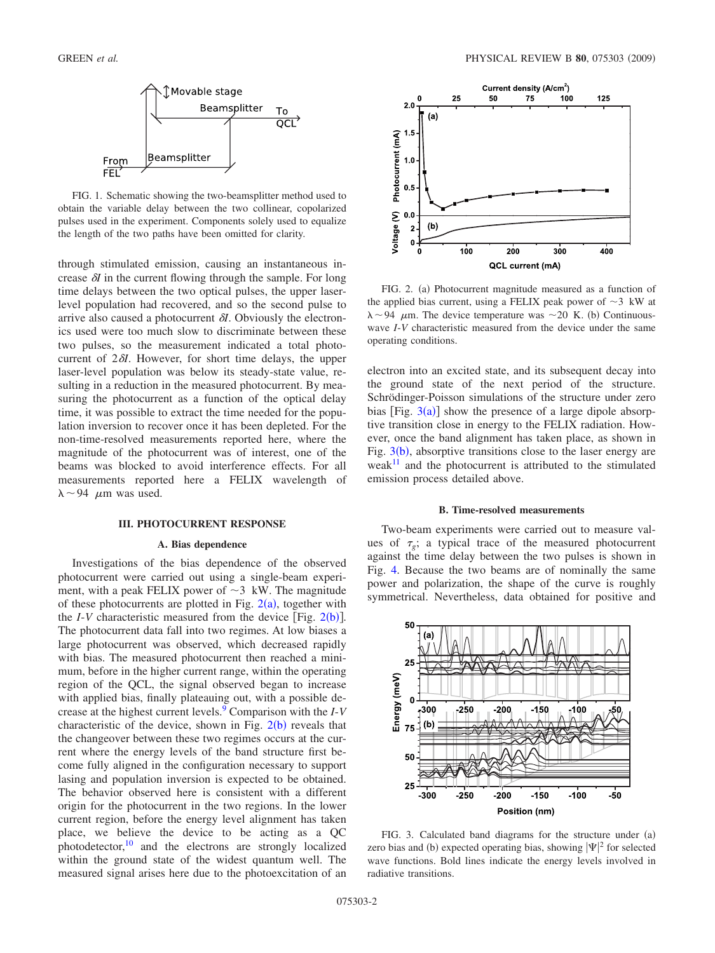<span id="page-1-0"></span>

FIG. 1. Schematic showing the two-beamsplitter method used to obtain the variable delay between the two collinear, copolarized pulses used in the experiment. Components solely used to equalize the length of the two paths have been omitted for clarity.

through stimulated emission, causing an instantaneous increase  $\delta I$  in the current flowing through the sample. For long time delays between the two optical pulses, the upper laserlevel population had recovered, and so the second pulse to arrive also caused a photocurrent  $\delta I$ . Obviously the electronics used were too much slow to discriminate between these two pulses, so the measurement indicated a total photocurrent of  $2\delta I$ . However, for short time delays, the upper laser-level population was below its steady-state value, resulting in a reduction in the measured photocurrent. By measuring the photocurrent as a function of the optical delay time, it was possible to extract the time needed for the population inversion to recover once it has been depleted. For the non-time-resolved measurements reported here, where the magnitude of the photocurrent was of interest, one of the beams was blocked to avoid interference effects. For all measurements reported here a FELIX wavelength of  $\lambda \sim 94$   $\mu$ m was used.

# **III. PHOTOCURRENT RESPONSE**

### **A. Bias dependence**

Investigations of the bias dependence of the observed photocurrent were carried out using a single-beam experiment, with a peak FELIX power of  $\sim$ 3 kW. The magnitude of these photocurrents are plotted in Fig.  $2(a)$  $2(a)$ , together with the *I*-*V* characteristic measured from the device [Fig.  $2(b)$  $2(b)$ ]. The photocurrent data fall into two regimes. At low biases a large photocurrent was observed, which decreased rapidly with bias. The measured photocurrent then reached a minimum, before in the higher current range, within the operating region of the QCL, the signal observed began to increase with applied bias, finally plateauing out, with a possible decrease at the highest current levels[.9](#page-4-9) Comparison with the *I*-*V* characteristic of the device, shown in Fig.  $2(b)$  $2(b)$  reveals that the changeover between these two regimes occurs at the current where the energy levels of the band structure first become fully aligned in the configuration necessary to support lasing and population inversion is expected to be obtained. The behavior observed here is consistent with a different origin for the photocurrent in the two regions. In the lower current region, before the energy level alignment has taken place, we believe the device to be acting as a QC photodetector, $10$  and the electrons are strongly localized within the ground state of the widest quantum well. The measured signal arises here due to the photoexcitation of an

<span id="page-1-1"></span>

FIG. 2. (a) Photocurrent magnitude measured as a function of the applied bias current, using a FELIX peak power of  $\sim$ 3 kW at  $\lambda \sim 94$   $\mu$ m. The device temperature was  $\sim$ 20 K. (b) Continuouswave *I*-*V* characteristic measured from the device under the same operating conditions.

electron into an excited state, and its subsequent decay into the ground state of the next period of the structure. Schrödinger-Poisson simulations of the structure under zero bias [Fig.  $3(a)$  $3(a)$ ] show the presence of a large dipole absorptive transition close in energy to the FELIX radiation. However, once the band alignment has taken place, as shown in Fig.  $3(b)$  $3(b)$ , absorptive transitions close to the laser energy are weak $11$  and the photocurrent is attributed to the stimulated emission process detailed above.

### **B. Time-resolved measurements**

Two-beam experiments were carried out to measure values of  $\tau_e$ ; a typical trace of the measured photocurrent against the time delay between the two pulses is shown in Fig. [4.](#page-2-0) Because the two beams are of nominally the same power and polarization, the shape of the curve is roughly symmetrical. Nevertheless, data obtained for positive and

<span id="page-1-2"></span>

FIG. 3. Calculated band diagrams for the structure under (a) zero bias and (b) expected operating bias, showing  $|\Psi|^2$  for selected wave functions. Bold lines indicate the energy levels involved in radiative transitions.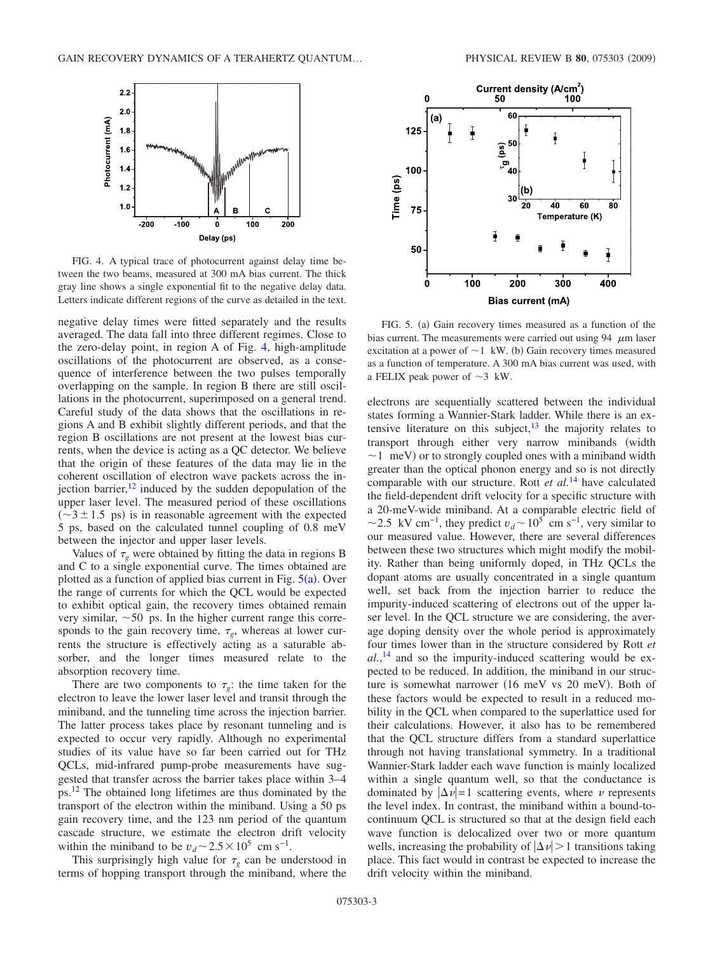<span id="page-2-0"></span>

FIG. 4. A typical trace of photocurrent against delay time between the two beams, measured at 300 mA bias current. The thick gray line shows a single exponential fit to the negative delay data. Letters indicate different regions of the curve as detailed in the text.

negative delay times were fitted separately and the results averaged. The data fall into three different regimes. Close to the zero-delay point, in region A of Fig. [4,](#page-2-0) high-amplitude oscillations of the photocurrent are observed, as a consequence of interference between the two pulses temporally overlapping on the sample. In region B there are still oscillations in the photocurrent, superimposed on a general trend. Careful study of the data shows that the oscillations in regions A and B exhibit slightly different periods, and that the region B oscillations are not present at the lowest bias currents, when the device is acting as a QC detector. We believe that the origin of these features of the data may lie in the coherent oscillation of electron wave packets across the injection barrier, $12$  induced by the sudden depopulation of the upper laser level. The measured period of these oscillations  $(\sim 3 \pm 1.5 \text{ ps})$  is in reasonable agreement with the expected 5 ps, based on the calculated tunnel coupling of 0.8 meV between the injector and upper laser levels.

Values of  $\tau_g$  were obtained by fitting the data in regions B and C to a single exponential curve. The times obtained are plotted as a function of applied bias current in Fig.  $5(a)$  $5(a)$ . Over the range of currents for which the QCL would be expected to exhibit optical gain, the recovery times obtained remain very similar,  $\sim$  50 ps. In the higher current range this corresponds to the gain recovery time,  $\tau_{\varrho}$ , whereas at lower currents the structure is effectively acting as a saturable absorber, and the longer times measured relate to the absorption recovery time.

There are two components to  $\tau_g$ : the time taken for the electron to leave the lower laser level and transit through the miniband, and the tunneling time across the injection barrier. The latter process takes place by resonant tunneling and is expected to occur very rapidly. Although no experimental studies of its value have so far been carried out for THz QCLs, mid-infrared pump-probe measurements have suggested that transfer across the barrier takes place within 3–4 ps[.12](#page-4-12) The obtained long lifetimes are thus dominated by the transport of the electron within the miniband. Using a 50 ps gain recovery time, and the 123 nm period of the quantum cascade structure, we estimate the electron drift velocity within the miniband to be  $v_d \sim 2.5 \times 10^5$  cm s<sup>-1</sup>.

This surprisingly high value for  $\tau_{\varrho}$  can be understood in terms of hopping transport through the miniband, where the

<span id="page-2-1"></span>

FIG. 5. (a) Gain recovery times measured as a function of the bias current. The measurements were carried out using 94  $\,\mu$ m laser excitation at a power of  $\sim$  1 kW. (b) Gain recovery times measured as a function of temperature. A 300 mA bias current was used, with a FELIX peak power of  $\sim$ 3 kW.

electrons are sequentially scattered between the individual states forming a Wannier-Stark ladder. While there is an extensive literature on this subject, $^{13}$  the majority relates to transport through either very narrow minibands (width  $\sim$  1 meV) or to strongly coupled ones with a miniband width greater than the optical phonon energy and so is not directly comparable with our structure. Rott *et al.*[14](#page-4-14) have calculated the field-dependent drift velocity for a specific structure with a 20-meV-wide miniband. At a comparable electric field of ~2.5 kV cm<sup>-1</sup>, they predict  $v_d$  ~ 10<sup>5</sup> cm s<sup>-1</sup>, very similar to our measured value. However, there are several differences between these two structures which might modify the mobility. Rather than being uniformly doped, in THz QCLs the dopant atoms are usually concentrated in a single quantum well, set back from the injection barrier to reduce the impurity-induced scattering of electrons out of the upper laser level. In the QCL structure we are considering, the average doping density over the whole period is approximately four times lower than in the structure considered by Rott *et al.*, [14](#page-4-14) and so the impurity-induced scattering would be expected to be reduced. In addition, the miniband in our structure is somewhat narrower (16 meV vs 20 meV). Both of these factors would be expected to result in a reduced mobility in the QCL when compared to the superlattice used for their calculations. However, it also has to be remembered that the QCL structure differs from a standard superlattice through not having translational symmetry. In a traditional Wannier-Stark ladder each wave function is mainly localized within a single quantum well, so that the conductance is dominated by  $|\Delta \nu|=1$  scattering events, where  $\nu$  represents the level index. In contrast, the miniband within a bound-tocontinuum QCL is structured so that at the design field each wave function is delocalized over two or more quantum wells, increasing the probability of  $|\Delta \nu| > 1$  transitions taking place. This fact would in contrast be expected to increase the drift velocity within the miniband.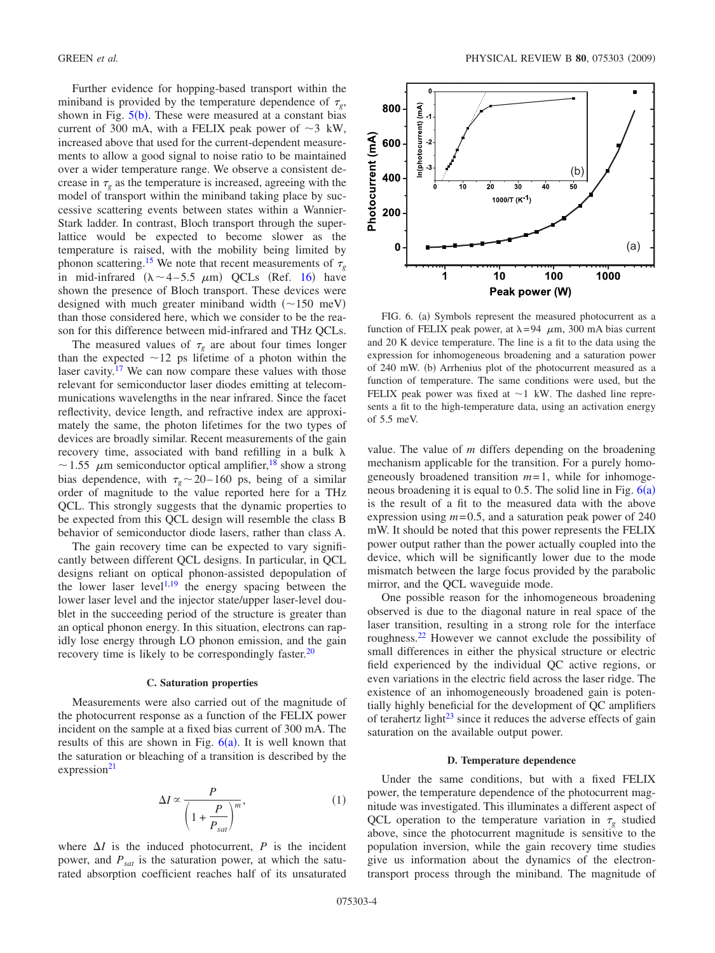Further evidence for hopping-based transport within the miniband is provided by the temperature dependence of  $\tau_{\varphi}$ , shown in Fig.  $5(b)$  $5(b)$ . These were measured at a constant bias current of 300 mA, with a FELIX peak power of  $\sim$ 3 kW, increased above that used for the current-dependent measurements to allow a good signal to noise ratio to be maintained over a wider temperature range. We observe a consistent decrease in  $\tau_{\varrho}$  as the temperature is increased, agreeing with the model of transport within the miniband taking place by successive scattering events between states within a Wannier-Stark ladder. In contrast, Bloch transport through the superlattice would be expected to become slower as the temperature is raised, with the mobility being limited by phonon scattering.<sup>15</sup> We note that recent measurements of  $\tau_{\varrho}$ in mid-infrared  $(\lambda \sim 4-5.5 \mu m)$  QCLs (Ref. [16](#page-4-16)) have shown the presence of Bloch transport. These devices were designed with much greater miniband width  $(\sim 150 \text{ meV})$ than those considered here, which we consider to be the reason for this difference between mid-infrared and THz QCLs.

The measured values of  $\tau_g$  are about four times longer than the expected  $\sim$ 12 ps lifetime of a photon within the laser cavity. $17$  We can now compare these values with those relevant for semiconductor laser diodes emitting at telecommunications wavelengths in the near infrared. Since the facet reflectivity, device length, and refractive index are approximately the same, the photon lifetimes for the two types of devices are broadly similar. Recent measurements of the gain recovery time, associated with band refilling in a bulk  $\lambda$  $\sim$  1.55  $\mu$ m semiconductor optical amplifier,<sup>18</sup> show a strong bias dependence, with  $\tau_{g} \sim 20 - 160$  ps, being of a similar order of magnitude to the value reported here for a THz QCL. This strongly suggests that the dynamic properties to be expected from this QCL design will resemble the class B behavior of semiconductor diode lasers, rather than class A.

The gain recovery time can be expected to vary significantly between different QCL designs. In particular, in QCL designs reliant on optical phonon-assisted depopulation of the lower laser level<sup>1,[19](#page-4-19)</sup> the energy spacing between the lower laser level and the injector state/upper laser-level doublet in the succeeding period of the structure is greater than an optical phonon energy. In this situation, electrons can rapidly lose energy through LO phonon emission, and the gain recovery time is likely to be correspondingly faster. $^{20}$ 

#### **C. Saturation properties**

Measurements were also carried out of the magnitude of the photocurrent response as a function of the FELIX power incident on the sample at a fixed bias current of 300 mA. The results of this are shown in Fig.  $6(a)$  $6(a)$ . It is well known that the saturation or bleaching of a transition is described by the  $expression<sup>21</sup>$ 

$$
\Delta I \propto \frac{P}{\left(1 + \frac{P}{P_{sat}}\right)^m},\tag{1}
$$

where  $\Delta I$  is the induced photocurrent,  $P$  is the incident power, and *Psat* is the saturation power, at which the saturated absorption coefficient reaches half of its unsaturated

<span id="page-3-0"></span>

FIG. 6. (a) Symbols represent the measured photocurrent as a function of FELIX peak power, at  $\lambda = 94$   $\mu$ m, 300 mA bias current and 20 K device temperature. The line is a fit to the data using the expression for inhomogeneous broadening and a saturation power of 240 mW. (b) Arrhenius plot of the photocurrent measured as a function of temperature. The same conditions were used, but the FELIX peak power was fixed at  $\sim$  1 kW. The dashed line represents a fit to the high-temperature data, using an activation energy of 5.5 meV.

value. The value of *m* differs depending on the broadening mechanism applicable for the transition. For a purely homogeneously broadened transition *m*= 1, while for inhomogeneous broadening it is equal to 0.5. The solid line in Fig.  $6(a)$  $6(a)$ is the result of a fit to the measured data with the above expression using  $m = 0.5$ , and a saturation peak power of 240 mW. It should be noted that this power represents the FELIX power output rather than the power actually coupled into the device, which will be significantly lower due to the mode mismatch between the large focus provided by the parabolic mirror, and the QCL waveguide mode.

One possible reason for the inhomogeneous broadening observed is due to the diagonal nature in real space of the laser transition, resulting in a strong role for the interface roughness[.22](#page-4-22) However we cannot exclude the possibility of small differences in either the physical structure or electric field experienced by the individual QC active regions, or even variations in the electric field across the laser ridge. The existence of an inhomogeneously broadened gain is potentially highly beneficial for the development of QC amplifiers of terahertz light $^{23}$  since it reduces the adverse effects of gain saturation on the available output power.

#### **D. Temperature dependence**

Under the same conditions, but with a fixed FELIX power, the temperature dependence of the photocurrent magnitude was investigated. This illuminates a different aspect of QCL operation to the temperature variation in  $\tau_g$  studied above, since the photocurrent magnitude is sensitive to the population inversion, while the gain recovery time studies give us information about the dynamics of the electrontransport process through the miniband. The magnitude of